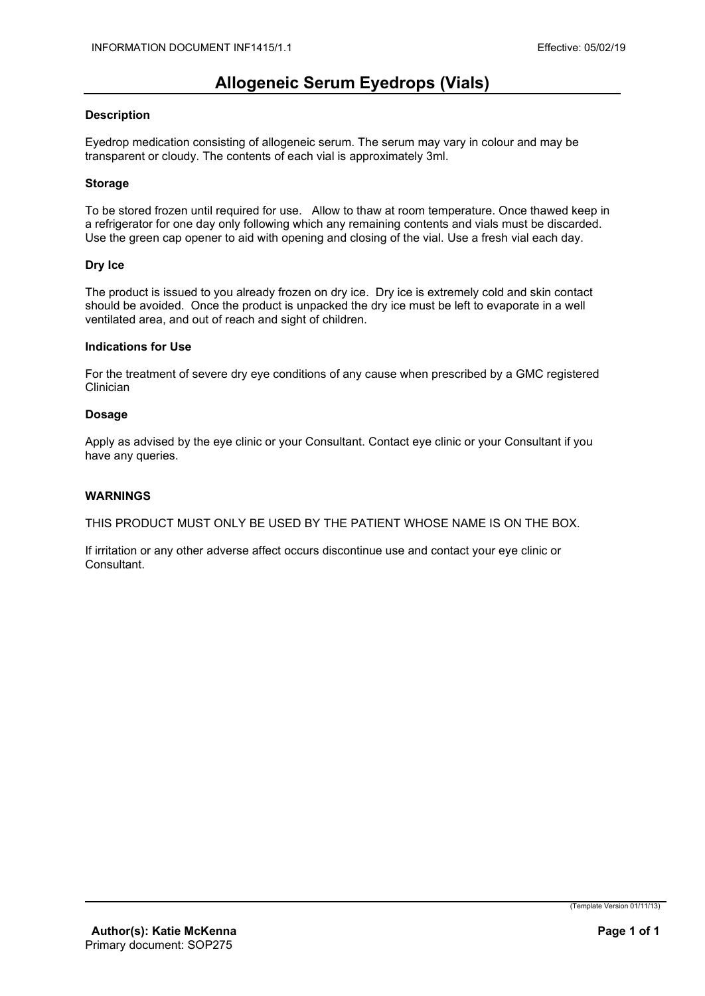## **Allogeneic Serum Eyedrops (Vials)**

#### **Description**

Eyedrop medication consisting of allogeneic serum. The serum may vary in colour and may be transparent or cloudy. The contents of each vial is approximately 3ml.

#### **Storage**

To be stored frozen until required for use. Allow to thaw at room temperature. Once thawed keep in a refrigerator for one day only following which any remaining contents and vials must be discarded. Use the green cap opener to aid with opening and closing of the vial. Use a fresh vial each day.

#### **Dry Ice**

The product is issued to you already frozen on dry ice. Dry ice is extremely cold and skin contact should be avoided. Once the product is unpacked the dry ice must be left to evaporate in a well ventilated area, and out of reach and sight of children.

#### **Indications for Use**

For the treatment of severe dry eye conditions of any cause when prescribed by a GMC registered **Clinician** 

#### **Dosage**

Apply as advised by the eye clinic or your Consultant. Contact eye clinic or your Consultant if you have any queries.

#### **WARNINGS**

THIS PRODUCT MUST ONLY BE USED BY THE PATIENT WHOSE NAME IS ON THE BOX.

If irritation or any other adverse affect occurs discontinue use and contact your eye clinic or Consultant.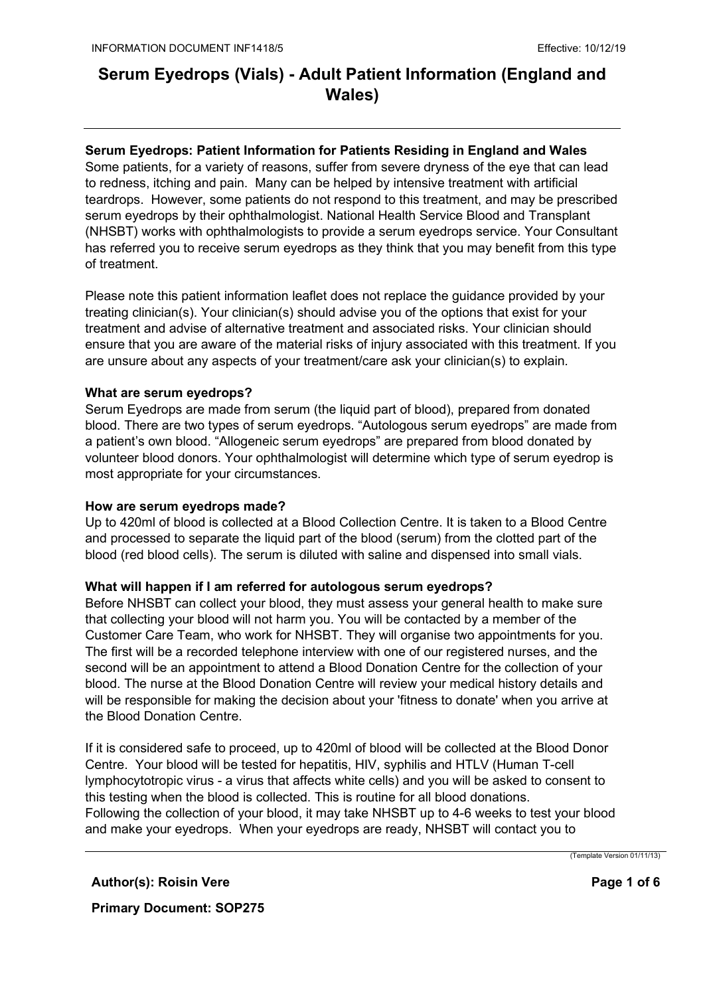### **Serum Eyedrops: Patient Information for Patients Residing in England and Wales**

Some patients, for a variety of reasons, suffer from severe dryness of the eye that can lead to redness, itching and pain. Many can be helped by intensive treatment with artificial teardrops. However, some patients do not respond to this treatment, and may be prescribed serum eyedrops by their ophthalmologist. National Health Service Blood and Transplant (NHSBT) works with ophthalmologists to provide a serum eyedrops service. Your Consultant has referred you to receive serum eyedrops as they think that you may benefit from this type of treatment.

Please note this patient information leaflet does not replace the guidance provided by your treating clinician(s). Your clinician(s) should advise you of the options that exist for your treatment and advise of alternative treatment and associated risks. Your clinician should ensure that you are aware of the material risks of injury associated with this treatment. If you are unsure about any aspects of your treatment/care ask your clinician(s) to explain*.*

#### **What are serum eyedrops?**

Serum Eyedrops are made from serum (the liquid part of blood), prepared from donated blood. There are two types of serum eyedrops. "Autologous serum eyedrops" are made from a patient's own blood. "Allogeneic serum eyedrops" are prepared from blood donated by volunteer blood donors. Your ophthalmologist will determine which type of serum eyedrop is most appropriate for your circumstances.

#### **How are serum eyedrops made?**

Up to 420ml of blood is collected at a Blood Collection Centre. It is taken to a Blood Centre and processed to separate the liquid part of the blood (serum) from the clotted part of the blood (red blood cells). The serum is diluted with saline and dispensed into small vials.

#### **What will happen if I am referred for autologous serum eyedrops?**

Before NHSBT can collect your blood, they must assess your general health to make sure that collecting your blood will not harm you. You will be contacted by a member of the Customer Care Team, who work for NHSBT. They will organise two appointments for you. The first will be a recorded telephone interview with one of our registered nurses, and the second will be an appointment to attend a Blood Donation Centre for the collection of your blood. The nurse at the Blood Donation Centre will review your medical history details and will be responsible for making the decision about your 'fitness to donate' when you arrive at the Blood Donation Centre.

If it is considered safe to proceed, up to 420ml of blood will be collected at the Blood Donor Centre. Your blood will be tested for hepatitis, HIV, syphilis and HTLV (Human T-cell lymphocytotropic virus - a virus that affects white cells) and you will be asked to consent to this testing when the blood is collected. This is routine for all blood donations. Following the collection of your blood, it may take NHSBT up to 4-6 weeks to test your blood and make your eyedrops. When your eyedrops are ready, NHSBT will contact you to

**Author(s): Roisin Vere**

**Primary Document: SOP275**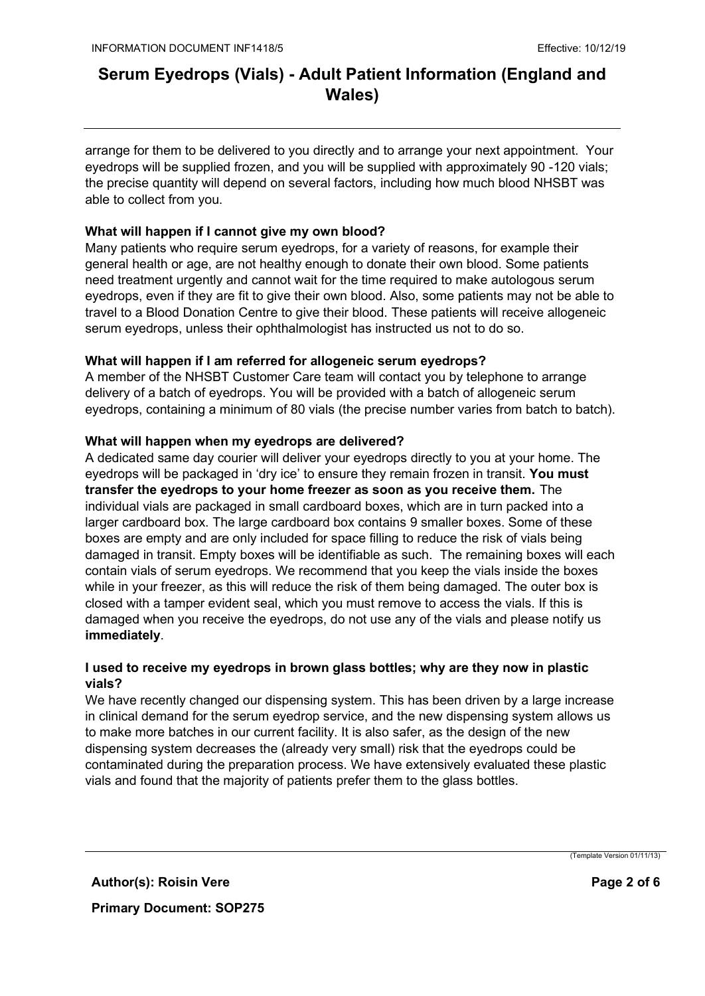arrange for them to be delivered to you directly and to arrange your next appointment. Your eyedrops will be supplied frozen, and you will be supplied with approximately 90 -120 vials; the precise quantity will depend on several factors, including how much blood NHSBT was able to collect from you.

### **What will happen if I cannot give my own blood?**

Many patients who require serum eyedrops, for a variety of reasons, for example their general health or age, are not healthy enough to donate their own blood. Some patients need treatment urgently and cannot wait for the time required to make autologous serum eyedrops, even if they are fit to give their own blood. Also, some patients may not be able to travel to a Blood Donation Centre to give their blood. These patients will receive allogeneic serum eyedrops, unless their ophthalmologist has instructed us not to do so.

### **What will happen if I am referred for allogeneic serum eyedrops?**

A member of the NHSBT Customer Care team will contact you by telephone to arrange delivery of a batch of eyedrops. You will be provided with a batch of allogeneic serum eyedrops, containing a minimum of 80 vials (the precise number varies from batch to batch).

#### **What will happen when my eyedrops are delivered?**

A dedicated same day courier will deliver your eyedrops directly to you at your home. The eyedrops will be packaged in 'dry ice' to ensure they remain frozen in transit. **You must transfer the eyedrops to your home freezer as soon as you receive them.** The individual vials are packaged in small cardboard boxes, which are in turn packed into a larger cardboard box. The large cardboard box contains 9 smaller boxes. Some of these boxes are empty and are only included for space filling to reduce the risk of vials being damaged in transit. Empty boxes will be identifiable as such. The remaining boxes will each contain vials of serum eyedrops. We recommend that you keep the vials inside the boxes while in your freezer, as this will reduce the risk of them being damaged. The outer box is closed with a tamper evident seal, which you must remove to access the vials. If this is damaged when you receive the eyedrops, do not use any of the vials and please notify us **immediately**.

### **I used to receive my eyedrops in brown glass bottles; why are they now in plastic vials?**

We have recently changed our dispensing system. This has been driven by a large increase in clinical demand for the serum eyedrop service, and the new dispensing system allows us to make more batches in our current facility. It is also safer, as the design of the new dispensing system decreases the (already very small) risk that the eyedrops could be contaminated during the preparation process. We have extensively evaluated these plastic vials and found that the majority of patients prefer them to the glass bottles.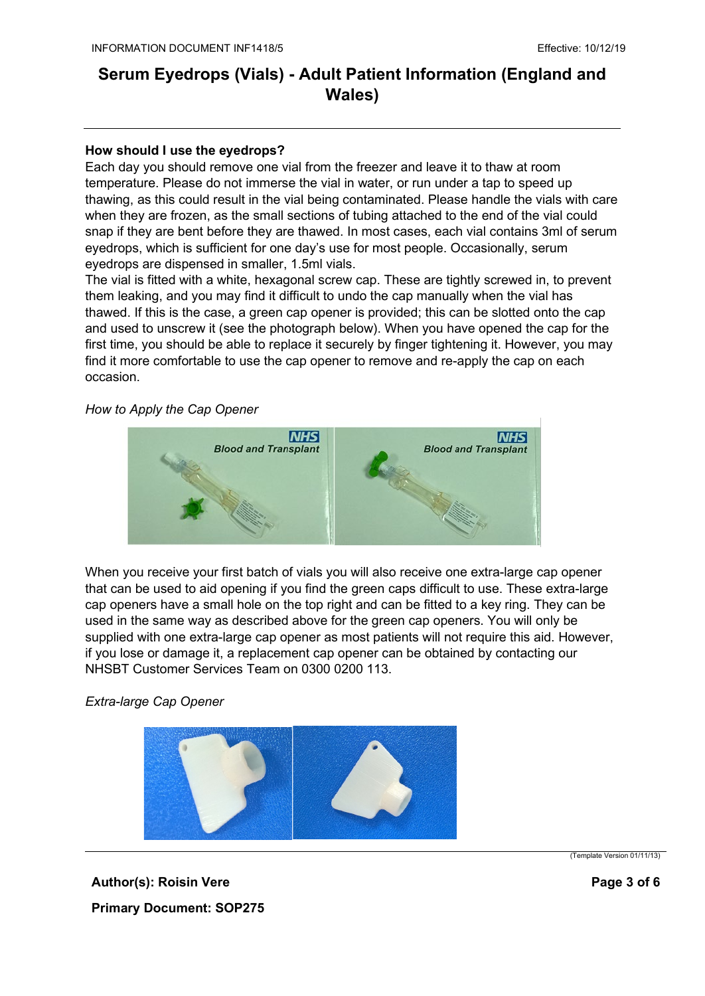#### **How should I use the eyedrops?**

Each day you should remove one vial from the freezer and leave it to thaw at room temperature. Please do not immerse the vial in water, or run under a tap to speed up thawing, as this could result in the vial being contaminated. Please handle the vials with care when they are frozen, as the small sections of tubing attached to the end of the vial could snap if they are bent before they are thawed. In most cases, each vial contains 3ml of serum eyedrops, which is sufficient for one day's use for most people. Occasionally, serum eyedrops are dispensed in smaller, 1.5ml vials.

The vial is fitted with a white, hexagonal screw cap. These are tightly screwed in, to prevent them leaking, and you may find it difficult to undo the cap manually when the vial has thawed. If this is the case, a green cap opener is provided; this can be slotted onto the cap and used to unscrew it (see the photograph below). When you have opened the cap for the first time, you should be able to replace it securely by finger tightening it. However, you may find it more comfortable to use the cap opener to remove and re-apply the cap on each occasion.

*How to Apply the Cap Opener*



When you receive your first batch of vials you will also receive one extra-large cap opener that can be used to aid opening if you find the green caps difficult to use. These extra-large cap openers have a small hole on the top right and can be fitted to a key ring. They can be used in the same way as described above for the green cap openers. You will only be supplied with one extra-large cap opener as most patients will not require this aid. However, if you lose or damage it, a replacement cap opener can be obtained by contacting our NHSBT Customer Services Team on 0300 0200 113.

*Extra-large Cap Opener* 



**Author(s): Roisin Vere Primary Document: SOP275** (Template Version 01/11/13)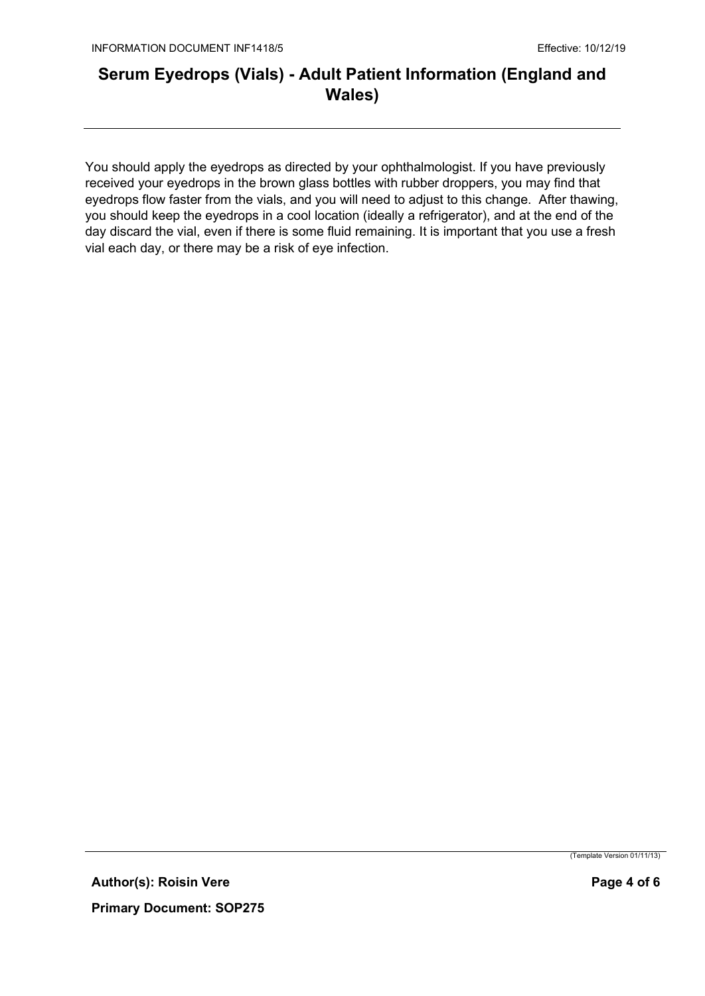You should apply the eyedrops as directed by your ophthalmologist. If you have previously received your eyedrops in the brown glass bottles with rubber droppers, you may find that eyedrops flow faster from the vials, and you will need to adjust to this change. After thawing, you should keep the eyedrops in a cool location (ideally a refrigerator), and at the end of the day discard the vial, even if there is some fluid remaining. It is important that you use a fresh vial each day, or there may be a risk of eye infection.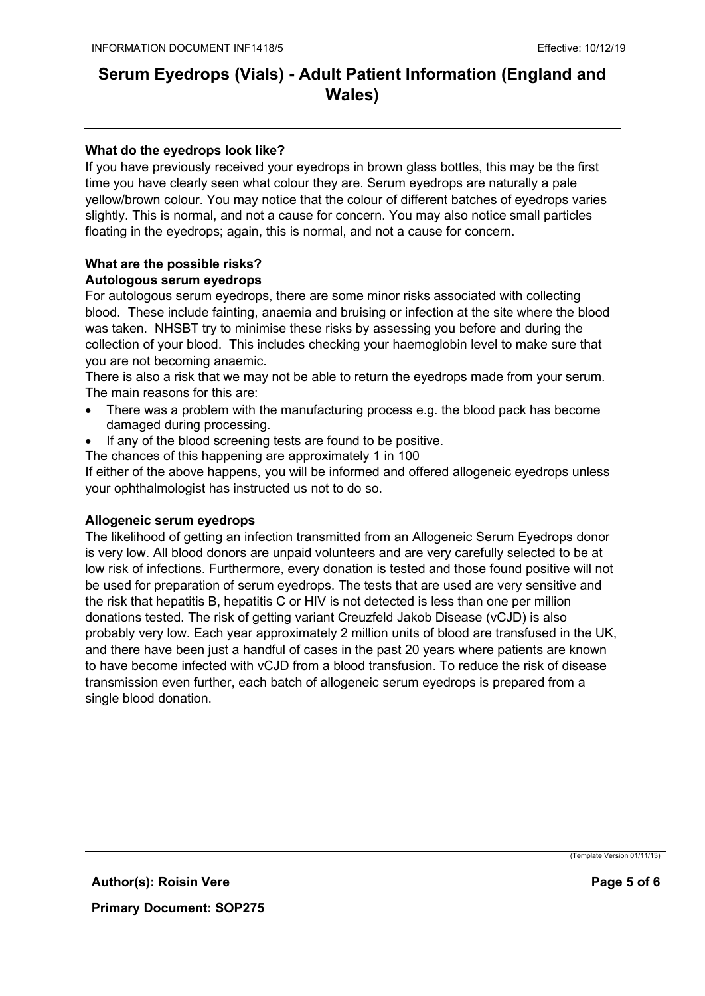### **What do the eyedrops look like?**

If you have previously received your eyedrops in brown glass bottles, this may be the first time you have clearly seen what colour they are. Serum eyedrops are naturally a pale yellow/brown colour. You may notice that the colour of different batches of eyedrops varies slightly. This is normal, and not a cause for concern. You may also notice small particles floating in the eyedrops; again, this is normal, and not a cause for concern.

#### **What are the possible risks? Autologous serum eyedrops**

For autologous serum eyedrops, there are some minor risks associated with collecting blood. These include fainting, anaemia and bruising or infection at the site where the blood was taken. NHSBT try to minimise these risks by assessing you before and during the collection of your blood. This includes checking your haemoglobin level to make sure that you are not becoming anaemic.

There is also a risk that we may not be able to return the eyedrops made from your serum. The main reasons for this are:

- There was a problem with the manufacturing process e.g. the blood pack has become damaged during processing.
- If any of the blood screening tests are found to be positive.
- The chances of this happening are approximately 1 in 100

If either of the above happens, you will be informed and offered allogeneic eyedrops unless your ophthalmologist has instructed us not to do so.

#### **Allogeneic serum eyedrops**

The likelihood of getting an infection transmitted from an Allogeneic Serum Eyedrops donor is very low. All blood donors are unpaid volunteers and are very carefully selected to be at low risk of infections. Furthermore, every donation is tested and those found positive will not be used for preparation of serum eyedrops. The tests that are used are very sensitive and the risk that hepatitis B, hepatitis C or HIV is not detected is less than one per million donations tested. The risk of getting variant Creuzfeld Jakob Disease (vCJD) is also probably very low. Each year approximately 2 million units of blood are transfused in the UK, and there have been just a handful of cases in the past 20 years where patients are known to have become infected with vCJD from a blood transfusion. To reduce the risk of disease transmission even further, each batch of allogeneic serum eyedrops is prepared from a single blood donation.